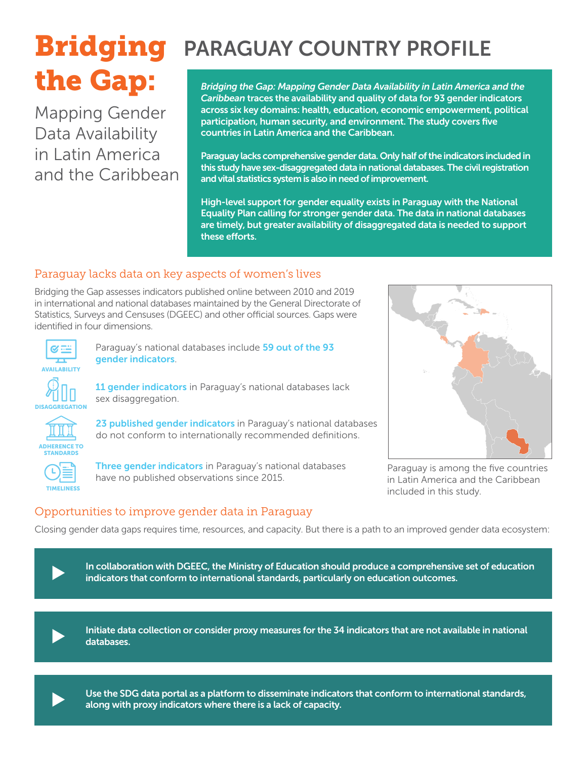# the Gap:

Mapping Gender Data Availability in Latin America and the Caribbean

## **Bridging** PARAGUAY COUNTRY PROFILE

*Bridging the Gap: Mapping Gender Data Availability in Latin America and the Caribbean* traces the availability and quality of data for 93 gender indicators across six key domains: health, education, economic empowerment, political participation, human security, and environment. The study covers five countries in Latin America and the Caribbean.

Paraguay lacks comprehensive gender data. Only half of the indicators included in this study have sex-disaggregated data in national databases. The civil registration and vital statistics system is also in need of improvement.

High-level support for gender equality exists in Paraguay with the National Equality Plan calling for stronger gender data. The data in national databases are timely, but greater availability of disaggregated data is needed to support these efforts.

#### Paraguay lacks data on key aspects of women's lives

Bridging the Gap assesses indicators published online between 2010 and 2019 in international and national databases maintained by the General Directorate of Statistics, Surveys and Censuses (DGEEC) and other official sources. Gaps were identified in four dimensions.



Paraguay's national databases include 59 out of the 93 gender indicators.



11 gender indicators in Paraguay's national databases lack sex disaggregation.



23 published gender indicators in Paraguay's national databases do not conform to internationally recommended definitions.



Three gender indicators in Paraguay's national databases have no published observations since 2015.



Paraguay is among the five countries in Latin America and the Caribbean included in this study.

#### Opportunities to improve gender data in Paraguay

Closing gender data gaps requires time, resources, and capacity. But there is a path to an improved gender data ecosystem:



In collaboration with DGEEC, the Ministry of Education should produce a comprehensive set of education<br>indicators that conform to international standards, particularly on education outcomes.



Initiate data collection or consider proxy measures for the 34 indicators that are not available in national databases.



Use the SDG data portal as a platform to disseminate indicators that conform to international standards, along with proxy indicators where there is a lack of capacity.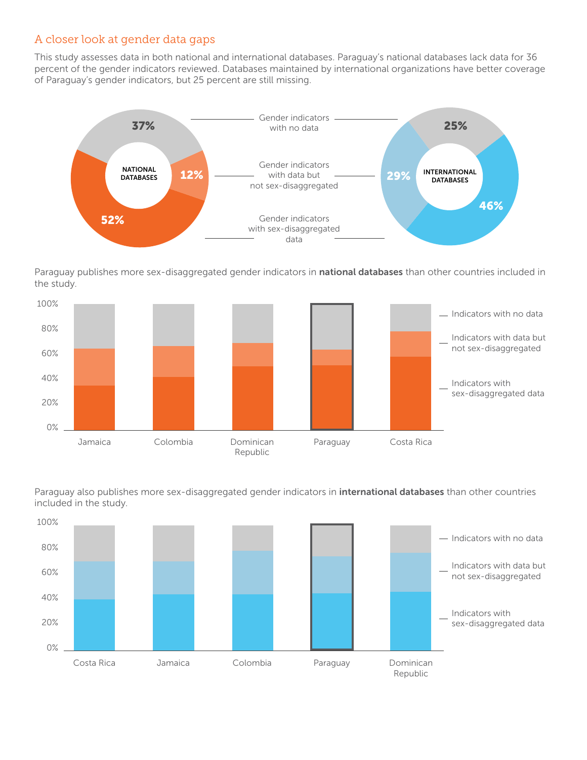#### A closer look at gender data gaps

This study assesses data in both national and international databases. Paraguay's national databases lack data for 36 percent of the gender indicators reviewed. Databases maintained by international organizations have better coverage of Paraguay's gender indicators, but 25 percent are still missing.



Paraguay publishes more sex-disaggregated gender indicators in national databases than other countries included in the study.



included in the study. Paraguay also publishes more sex-disaggregated gender indicators in *international databases* than other countries

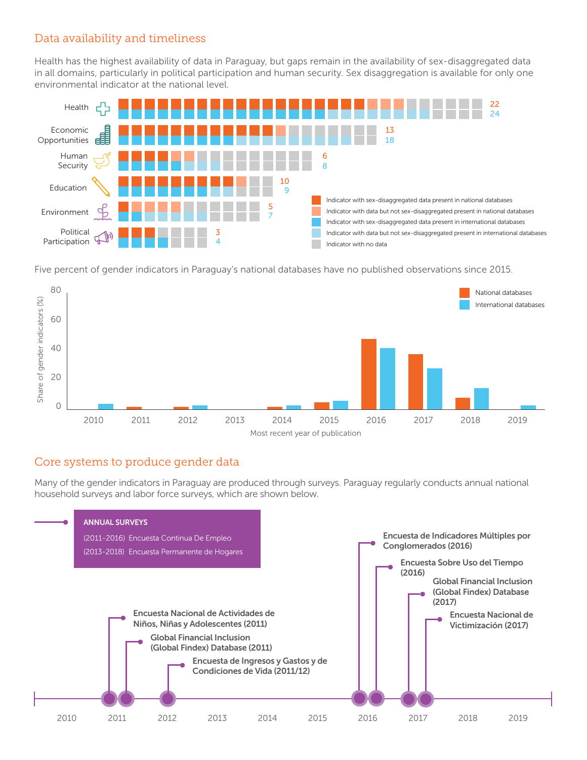#### Data availability and timeliness

Health has the highest availability of data in Paraguay, but gaps remain in the availability of sex-disaggregated data in all domains, particularly in political participation and human security. Sex disaggregation is available for only one environmental indicator at the national level.



Five percent of gender indicators in Paraguay's national databases have no published observations since 2015.



#### Core systems to produce gender data

Many of the gender indicators in Paraguay are produced through surveys. Paraguay regularly conducts annual national household surveys and labor force surveys, which are shown below.